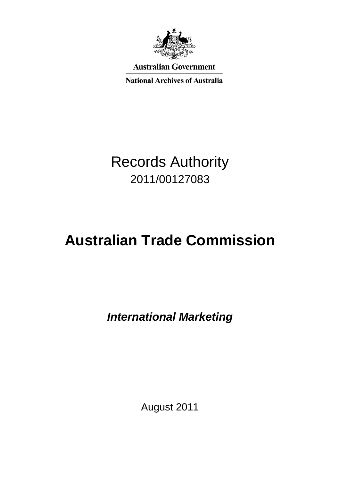

**Australian Government** 

**National Archives of Australia** 

# Records Authority 2011/00127083

# **Australian Trade Commission**

*International Marketing* 

August 2011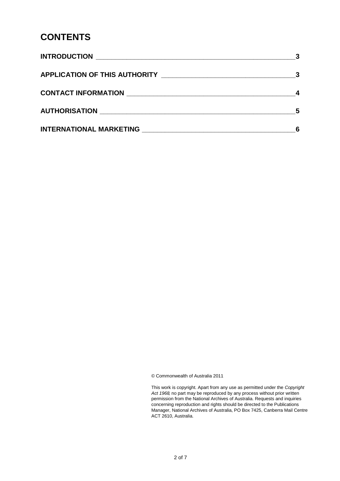## **CONTENTS**

|                                                           | 5 |
|-----------------------------------------------------------|---|
| <b>INTERNATIONAL MARKETING NATURE AND RESPONSE ASSESS</b> |   |

© Commonwealth of Australia 2011

 This work is copyright. Apart from any use as permitted under the *Copyright Act 1968,* no part may be reproduced by any process without prior written permission from the National Archives of Australia. Requests and inquiries concerning reproduction and rights should be directed to the Publications Manager, National Archives of Australia, PO Box 7425, Canberra Mail Centre ACT 2610, Australia.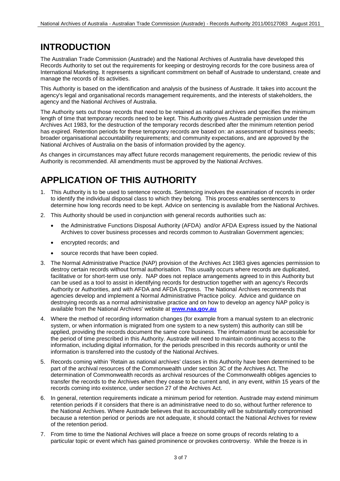# **INTRODUCTION**

 The Australian Trade Commission (Austrade) and the National Archives of Australia have developed this Records Authority to set out the requirements for keeping or destroying records for the core business area of International Marketing. It represents a significant commitment on behalf of Austrade to understand, create and manage the records of its activities.

 This Authority is based on the identification and analysis of the business of Austrade. It takes into account the agency's legal and organisational records management requirements, and the interests of stakeholders, the agency and the National Archives of Australia.

 National Archives of Australia on the basis of information provided by the agency. The Authority sets out those records that need to be retained as national archives and specifies the minimum length of time that temporary records need to be kept. This Authority gives Austrade permission under the Archives Act 1983, for the destruction of the temporary records described after the minimum retention period has expired. Retention periods for these temporary records are based on: an assessment of business needs; broader organisational accountability requirements; and community expectations, and are approved by the

 Authority is recommended. All amendments must be approved by the National Archives. As changes in circumstances may affect future records management requirements, the periodic review of this

# **APPLICATION OF THIS AUTHORITY**

- 1. This Authority is to be used to sentence records. Sentencing involves the examination of records in order to identify the individual disposal class to which they belong. This process enables sentencers to determine how long records need to be kept. Advice on sentencing is available from the National Archives.
- 2. This Authority should be used in conjunction with general records authorities such as:
	- the Administrative Functions Disposal Authority (AFDA) and/or AFDA Express issued by the National Archives to cover business processes and records common to Australian Government agencies;
	- encrypted records; and
	- source records that have been copied.
- facilitative or for short-term use only. NAP does not replace arrangements agreed to in this Authority but can be used as a tool to assist in identifying records for destruction together with an agency's Records destroying records as a normal administrative practice and on how to develop an agency NAP policy is available from the National Archives' website at **[www.naa.gov.au](http://www.naa.gov.au/)**  3. The Normal Administrative Practice (NAP) provision of the Archives Act 1983 gives agencies permission to destroy certain records without formal authorisation. This usually occurs where records are duplicated, Authority or Authorities, and with AFDA and AFDA Express. The National Archives recommends that agencies develop and implement a Normal Administrative Practice policy. Advice and guidance on
- system, or when information is migrated from one system to a new system) this authority can still be information is transferred into the custody of the National Archives. 4. Where the method of recording information changes (for example from a manual system to an electronic applied, providing the records document the same core business. The information must be accessible for the period of time prescribed in this Authority. Austrade will need to maintain continuing access to the information, including digital information, for the periods prescribed in this records authority or until the
- transfer the records to the Archives when they cease to be current and, in any event, within 15 years of the 5. Records coming within 'Retain as national archives' classes in this Authority have been determined to be part of the archival resources of the Commonwealth under section 3C of the Archives Act. The determination of Commonwealth records as archival resources of the Commonwealth obliges agencies to records coming into existence, under section 27 of the Archives Act.
- because a retention period or periods are not adequate, it should contact the National Archives for review 6. In general, retention requirements indicate a minimum period for retention. Austrade may extend minimum retention periods if it considers that there is an administrative need to do so, without further reference to the National Archives. Where Austrade believes that its accountability will be substantially compromised of the retention period.
- 7. From time to time the National Archives will place a freeze on some groups of records relating to a particular topic or event which has gained prominence or provokes controversy. While the freeze is in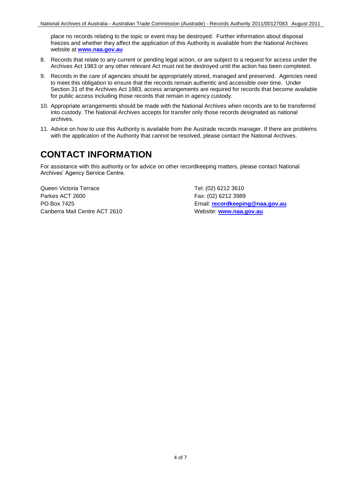place no records relating to the topic or event may be destroyed. Further information about disposal freezes and whether they affect the application of this Authority is available from the National Archives website at **[www.naa.gov.au](http://www.naa.gov.au/)** 

- 8. Records that relate to any current or pending legal action, or are subject to a request for access under the Archives Act 1983 or any other relevant Act must not be destroyed until the action has been completed.
- 9. Records in the care of agencies should be appropriately stored, managed and preserved. Agencies need to meet this obligation to ensure that the records remain authentic and accessible over time. Under Section 31 of the Archives Act 1983, access arrangements are required for records that become available for public access including those records that remain in agency custody.
- 10. Appropriate arrangements should be made with the National Archives when records are to be transferred into custody. The National Archives accepts for transfer only those records designated as national archives.
- 11. Advice on how to use this Authority is available from the Austrade records manager. If there are problems with the application of the Authority that cannot be resolved, please contact the National Archives.

# **CONTACT INFORMATION**

 Archives' Agency Service Centre. For assistance with this authority or for advice on other recordkeeping matters, please contact National

Queen Victoria Terrace Tel: (02) 6212 3610 Parkes ACT 2600 Fax: (02) 6212 3989 Canberra Mail Centre ACT 2610 Website: www.naa.gov.au

PO Box 7425 Email: **[recordkeeping@naa.gov.au](mailto:recordkeeping@naa.gov.au)**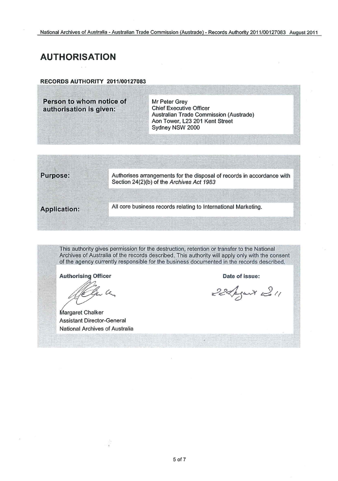### **AUTHORISATION**

**RECORDS AUTHORITY 2011/00127083** 

**Person to whom notice of Mr Peter Grey<br>
<b>Authorisation is given:** Chief Executive Officer authorisation is given: Australian Trade Commission (Austrade) Aon Tower, L23 201 Kent Street Sydney NSW 2000



This authority gives permission for the destruction, retention or transfer to the National Archives of Australia of the records described. This authority will apply only with the consent of the agency currently responsible for the business documented in the records described.

**Authorising Officer** 

On a

**Margaret Chalker** Assistant Director-General National Archives of Australia

**Date** of issue:

22 August 2011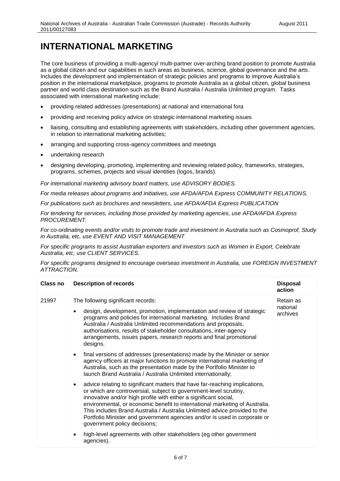## **INTERNATIONAL MARKETING**

 position in the international marketplace, programs to promote Australia as a global citizen, global business associated with international marketing include: The core business of providing a multi-agency/ multi-partner over-arching brand position to promote Australia as a global citizen and our capabilities in such areas as business, science, global governance and the arts. Includes the development and implementation of strategic policies and programs to improve Australia's partner and world class destination such as the Brand Australia / Australia Unlimited program. Tasks

- providing related addresses (presentations) at national and international fora
- providing and receiving policy advice on strategic international marketing issues
- liaising, consulting and establishing agreements with stakeholders, including other government agencies, in relation to international marketing activities;
- arranging and supporting cross-agency committees and meetings
- undertaking research
- designing developing, promoting, implementing and reviewing related policy, frameworks, strategies, programs, schemes, projects and visual identities (logos, brands).

 *For international marketing advisory board matters, use ADVISORY BODIES.* 

*For media releases about programs and initiatives, use AFDA/AFDA Express COMMUNITY RELATIONS.* 

*For publications such as brochures and newsletters, use AFDA/AFDA Express PUBLICATION* 

 *For tendering for services, including those provided by marketing agencies, use AFDA/AFDA Express PROCUREMENT.* 

*For co-ordinating events and/or visits to promote trade and investment in Australia such as Cosmoprof, Study in Australia, etc, use EVENT AND VISIT MANAGEMENT* 

*For specific programs to assist Australian exporters and investors such as Women in Export, Celebrate Australia, etc, use CLIENT SERVICES.* 

 *For specific programs designed to encourage overseas investment in Australia, use FOREIGN INVESTMENT ATTRACTION.* 

| Class no | <b>Description of records</b>                                                                                                                                                                                                                                                                                                                                                                                                                                                                  | <b>Disposal</b><br>action         |
|----------|------------------------------------------------------------------------------------------------------------------------------------------------------------------------------------------------------------------------------------------------------------------------------------------------------------------------------------------------------------------------------------------------------------------------------------------------------------------------------------------------|-----------------------------------|
| 21997    | The following significant records:<br>design, development, promotion, implementation and review of strategic<br>programs and policies for international marketing. Includes Brand<br>Australia / Australia Unlimited recommendations and proposals,<br>authorisations, results of stakeholder consultations, inter-agency<br>arrangements, issues papers, research reports and final promotional<br>designs.                                                                                   | Retain as<br>national<br>archives |
|          | final versions of addresses (presentations) made by the Minister or senior<br>agency officers at major functions to promote international marketing of<br>Australia, such as the presentation made by the Portfolio Minister to<br>launch Brand Australia / Australia Unlimited internationally;                                                                                                                                                                                               |                                   |
|          | advice relating to significant matters that have far-reaching implications,<br>or which are controversial, subject to government-level scrutiny,<br>innovative and/or high profile with either a significant social,<br>environmental, or economic benefit to international marketing of Australia.<br>This includes Brand Australia / Australia Unlimited advice provided to the<br>Portfolio Minister and government agencies and/or is used in corporate or<br>government policy decisions; |                                   |
|          | high-level agreements with other stakeholders (eg other government<br>agencies).                                                                                                                                                                                                                                                                                                                                                                                                               |                                   |